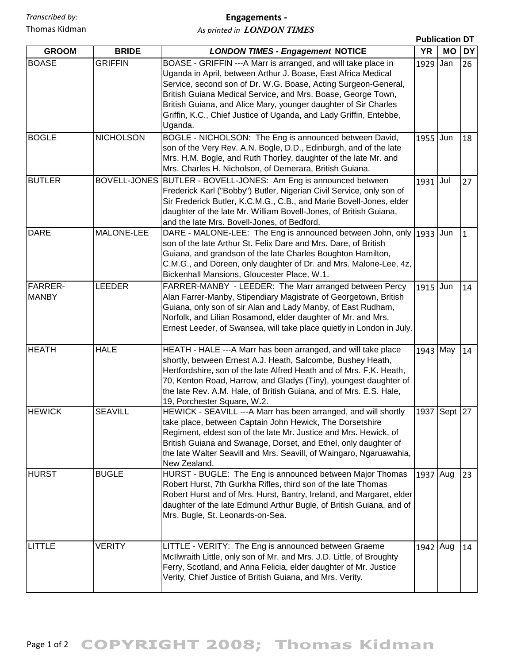## **Engagements ‐**

*As printed in LONDON TIMES*

|                         |                  |                                                                                                                                                                                                                                                                                                                                                                                                                      | <b>Publication DT</b> |           |            |
|-------------------------|------------------|----------------------------------------------------------------------------------------------------------------------------------------------------------------------------------------------------------------------------------------------------------------------------------------------------------------------------------------------------------------------------------------------------------------------|-----------------------|-----------|------------|
| <b>GROOM</b>            | <b>BRIDE</b>     | <b>LONDON TIMES - Engagement NOTICE</b>                                                                                                                                                                                                                                                                                                                                                                              | <b>YR</b>             | <b>MO</b> | <b>IDY</b> |
| <b>BOASE</b>            | <b>GRIFFIN</b>   | BOASE - GRIFFIN ---A Marr is arranged, and will take place in<br>Uganda in April, between Arthur J. Boase, East Africa Medical<br>Service, second son of Dr. W.G. Boase, Acting Surgeon-General,<br>British Guiana Medical Service, and Mrs. Boase, George Town,<br>British Guiana, and Alice Mary, younger daughter of Sir Charles<br>Griffin, K.C., Chief Justice of Uganda, and Lady Griffin, Entebbe,<br>Uganda. | 1929                  | Jan       | 26         |
| <b>BOGLE</b>            | <b>NICHOLSON</b> | BOGLE - NICHOLSON: The Eng is announced between David,<br>son of the Very Rev. A.N. Bogle, D.D., Edinburgh, and of the late<br>Mrs. H.M. Bogle, and Ruth Thorley, daughter of the late Mr. and<br>Mrs. Charles H. Nicholson, of Demerara, British Guiana.                                                                                                                                                            | 1955                  | Jun       | 18         |
| <b>BUTLER</b>           |                  | BOVELL-JONES BUTLER - BOVELL-JONES: Am Eng is announced between<br>Frederick Karl ("Bobby") Butler, Nigerian Civil Service, only son of<br>Sir Frederick Butler, K.C.M.G., C.B., and Marie Bovell-Jones, elder<br>daughter of the late Mr. William Bovell-Jones, of British Guiana,<br>and the late Mrs. Bovell-Jones, of Bedford.                                                                                   | 1931 Jul              |           | 27         |
| <b>DARE</b>             | MALONE-LEE       | DARE - MALONE-LEE: The Eng is announced between John, only<br>son of the late Arthur St. Felix Dare and Mrs. Dare, of British<br>Guiana, and grandson of the late Charles Boughton Hamilton,<br>C.M.G., and Doreen, only daughter of Dr. and Mrs. Malone-Lee, 4z,<br>Bickenhall Mansions, Gloucester Place, W.1.                                                                                                     | 1933                  | Jun       | I1         |
| FARRER-<br><b>MANBY</b> | <b>LEEDER</b>    | FARRER-MANBY - LEEDER: The Marr arranged between Percy<br>Alan Farrer-Manby, Stipendiary Magistrate of Georgetown, British<br>Guiana, only son of sir Alan and Lady Manby, of East Rudham,<br>Norfolk, and Lilian Rosamond, elder daughter of Mr. and Mrs.<br>Ernest Leeder, of Swansea, will take place quietly in London in July.                                                                                  | 1915                  | Jun       | 14         |
| <b>HEATH</b>            | <b>HALE</b>      | HEATH - HALE ---A Marr has been arranged, and will take place<br>shortly, between Ernest A.J. Heath, Salcombe, Bushey Heath,<br>Hertfordshire, son of the late Alfred Heath and of Mrs. F.K. Heath,<br>70, Kenton Road, Harrow, and Gladys (Tiny), youngest daughter of<br>the late Rev. A.M. Hale, of British Guiana, and of Mrs. E.S. Hale,<br>19, Porchester Square, W.2.                                         | 1943 May              |           | 14         |
| <b>HEWICK</b>           | <b>SEAVILL</b>   | HEWICK - SEAVILL --- A Marr has been arranged, and will shortly<br>take place, between Captain John Hewick, The Dorsetshire<br>Regiment, eldest son of the late Mr. Justice and Mrs. Hewick, of<br>British Guiana and Swanage, Dorset, and Ethel, only daughter of<br>the late Walter Seavill and Mrs. Seavill, of Waingaro, Ngaruawahia,<br>New Zealand.                                                            | 1937 Sept 27          |           |            |
| <b>HURST</b>            | <b>BUGLE</b>     | HURST - BUGLE: The Eng is announced between Major Thomas<br>Robert Hurst, 7th Gurkha Rifles, third son of the late Thomas<br>Robert Hurst and of Mrs. Hurst, Bantry, Ireland, and Margaret, elder<br>daughter of the late Edmund Arthur Bugle, of British Guiana, and of<br>Mrs. Bugle, St. Leonards-on-Sea.                                                                                                         | 1937 Aug              |           | 23         |
| <b>LITTLE</b>           | VERITY           | LITTLE - VERITY: The Eng is announced between Graeme<br>McIlwraith Little, only son of Mr. and Mrs. J.D. Little, of Broughty<br>Ferry, Scotland, and Anna Felicia, elder daughter of Mr. Justice<br>Verity, Chief Justice of British Guiana, and Mrs. Verity.                                                                                                                                                        | 1942 Aug              |           | 14         |